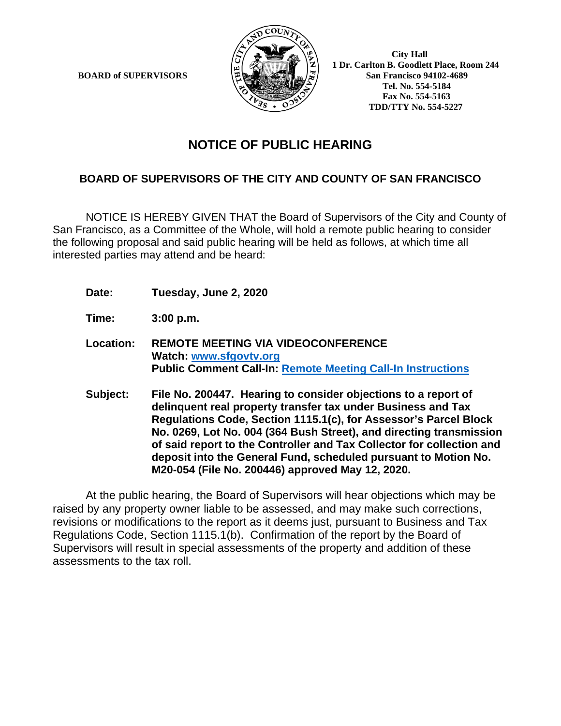**BOARD of SUPERVISORS** 



 **1 Dr. Carlton B. Goodlett Place, Room 244 Tel. No. 554-5184 Fax No. 554-5163 TDD/TTY No. 554-5227**

## **NOTICE OF PUBLIC HEARING**

## **BOARD OF SUPERVISORS OF THE CITY AND COUNTY OF SAN FRANCISCO**

NOTICE IS HEREBY GIVEN THAT the Board of Supervisors of the City and County of San Francisco, as a Committee of the Whole, will hold a remote public hearing to consider the following proposal and said public hearing will be held as follows, at which time all interested parties may attend and be heard:

- **Date: Tuesday, June 2, 2020**
- **Time: 3:00 p.m.**
- **Location: REMOTE MEETING VIA VIDEOCONFERENCE Watch: www.sfgovtv.org Public Comment Call-In: Remote Meeting Call-In Instructions**
- **Subject: File No. 200447. Hearing to consider objections to a report of delinquent real property transfer tax under Business and Tax Regulations Code, Section 1115.1(c), for Assessor's Parcel Block No. 0269, Lot No. 004 (364 Bush Street), and directing transmission of said report to the Controller and Tax Collector for collection and deposit into the General Fund, scheduled pursuant to Motion No. M20-054 (File No. 200446) approved May 12, 2020.**

At the public hearing, the Board of Supervisors will hear objections which may be raised by any property owner liable to be assessed, and may make such corrections, revisions or modifications to the report as it deems just, pursuant to Business and Tax Regulations Code, Section 1115.1(b). Confirmation of the report by the Board of Supervisors will result in special assessments of the property and addition of these assessments to the tax roll.